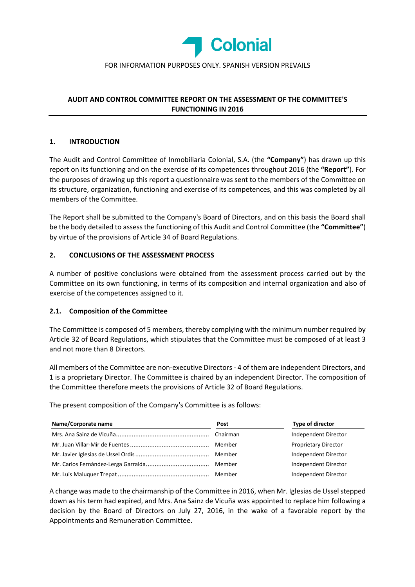

## FOR INFORMATION PURPOSES ONLY. SPANISH VERSION PREVAILS

# **AUDIT AND CONTROL COMMITTEE REPORT ON THE ASSESSMENT OF THE COMMITTEE'S FUNCTIONING IN 2016**

## **1. INTRODUCTION**

The Audit and Control Committee of Inmobiliaria Colonial, S.A. (the **"Company"**) has drawn up this report on its functioning and on the exercise of its competences throughout 2016 (the **"Report"**). For the purposes of drawing up this report a questionnaire was sent to the members of the Committee on its structure, organization, functioning and exercise of its competences, and this was completed by all members of the Committee.

The Report shall be submitted to the Company's Board of Directors, and on this basis the Board shall be the body detailed to assess the functioning of this Audit and Control Committee (the **"Committee"**) by virtue of the provisions of Article 34 of Board Regulations.

### **2. CONCLUSIONS OF THE ASSESSMENT PROCESS**

A number of positive conclusions were obtained from the assessment process carried out by the Committee on its own functioning, in terms of its composition and internal organization and also of exercise of the competences assigned to it.

#### **2.1. Composition of the Committee**

The Committee is composed of 5 members, thereby complying with the minimum number required by Article 32 of Board Regulations, which stipulates that the Committee must be composed of at least 3 and not more than 8 Directors.

All members of the Committee are non‐executive Directors ‐ 4 of them are independent Directors, and 1 is a proprietary Director. The Committee is chaired by an independent Director. The composition of the Committee therefore meets the provisions of Article 32 of Board Regulations.

The present composition of the Company's Committee is as follows:

| Name/Corporate name | Post     | Type of director            |
|---------------------|----------|-----------------------------|
|                     | Chairman | Independent Director        |
|                     | Member   | <b>Proprietary Director</b> |
|                     | Member   | Independent Director        |
|                     | Member   | Independent Director        |
|                     | Member   | Independent Director        |

A change was made to the chairmanship of the Committee in 2016, when Mr. Iglesias de Ussel stepped down as his term had expired, and Mrs. Ana Sainz de Vicuña was appointed to replace him following a decision by the Board of Directors on July 27, 2016, in the wake of a favorable report by the Appointments and Remuneration Committee.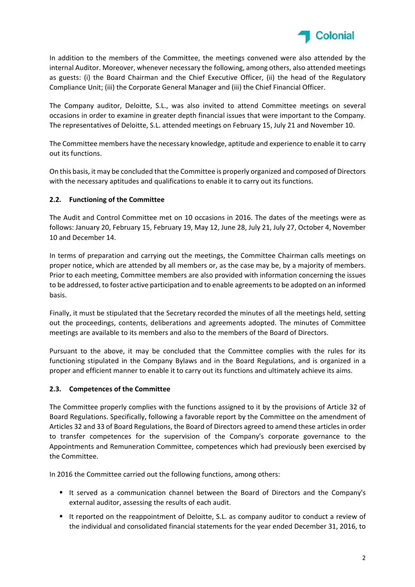

In addition to the members of the Committee, the meetings convened were also attended by the internal Auditor. Moreover, whenever necessary the following, among others, also attended meetings as guests: (i) the Board Chairman and the Chief Executive Officer, (ii) the head of the Regulatory Compliance Unit; (iii) the Corporate General Manager and (iii) the Chief Financial Officer.

The Company auditor, Deloitte, S.L., was also invited to attend Committee meetings on several occasions in order to examine in greater depth financial issues that were important to the Company. The representatives of Deloitte, S.L. attended meetings on February 15, July 21 and November 10.

The Committee members have the necessary knowledge, aptitude and experience to enable it to carry out its functions.

On this basis, it may be concluded that the Committee is properly organized and composed of Directors with the necessary aptitudes and qualifications to enable it to carry out its functions.

## **2.2. Functioning of the Committee**

The Audit and Control Committee met on 10 occasions in 2016. The dates of the meetings were as follows: January 20, February 15, February 19, May 12, June 28, July 21, July 27, October 4, November 10 and December 14.

In terms of preparation and carrying out the meetings, the Committee Chairman calls meetings on proper notice, which are attended by all members or, as the case may be, by a majority of members. Prior to each meeting, Committee members are also provided with information concerning the issues to be addressed, to foster active participation and to enable agreements to be adopted on an informed basis.

Finally, it must be stipulated that the Secretary recorded the minutes of all the meetings held, setting out the proceedings, contents, deliberations and agreements adopted. The minutes of Committee meetings are available to its members and also to the members of the Board of Directors.

Pursuant to the above, it may be concluded that the Committee complies with the rules for its functioning stipulated in the Company Bylaws and in the Board Regulations, and is organized in a proper and efficient manner to enable it to carry out its functions and ultimately achieve its aims.

## **2.3. Competences of the Committee**

The Committee properly complies with the functions assigned to it by the provisions of Article 32 of Board Regulations. Specifically, following a favorable report by the Committee on the amendment of Articles 32 and 33 of Board Regulations, the Board of Directors agreed to amend these articles in order to transfer competences for the supervision of the Company's corporate governance to the Appointments and Remuneration Committee, competences which had previously been exercised by the Committee.

In 2016 the Committee carried out the following functions, among others:

- It served as a communication channel between the Board of Directors and the Company's external auditor, assessing the results of each audit.
- It reported on the reappointment of Deloitte, S.L. as company auditor to conduct a review of the individual and consolidated financial statements for the year ended December 31, 2016, to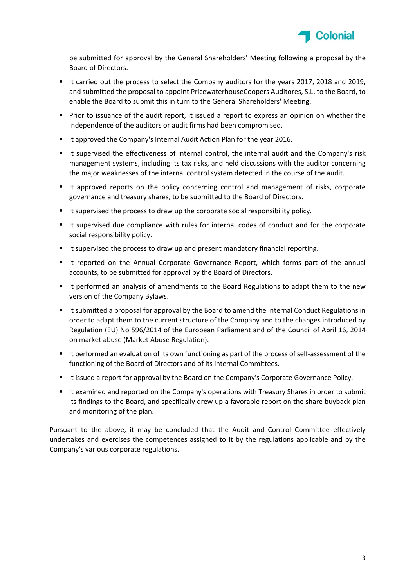

be submitted for approval by the General Shareholders' Meeting following a proposal by the Board of Directors.

- It carried out the process to select the Company auditors for the years 2017, 2018 and 2019. and submitted the proposal to appoint PricewaterhouseCoopers Auditores, S.L. to the Board, to enable the Board to submit this in turn to the General Shareholders' Meeting.
- **Prior to issuance of the audit report, it issued a report to express an opinion on whether the** independence of the auditors or audit firms had been compromised.
- It approved the Company's Internal Audit Action Plan for the year 2016.
- It supervised the effectiveness of internal control, the internal audit and the Company's risk management systems, including its tax risks, and held discussions with the auditor concerning the major weaknesses of the internal control system detected in the course of the audit.
- It approved reports on the policy concerning control and management of risks, corporate governance and treasury shares, to be submitted to the Board of Directors.
- It supervised the process to draw up the corporate social responsibility policy.
- It supervised due compliance with rules for internal codes of conduct and for the corporate social responsibility policy.
- It supervised the process to draw up and present mandatory financial reporting.
- It reported on the Annual Corporate Governance Report, which forms part of the annual accounts, to be submitted for approval by the Board of Directors.
- It performed an analysis of amendments to the Board Regulations to adapt them to the new version of the Company Bylaws.
- It submitted a proposal for approval by the Board to amend the Internal Conduct Regulations in order to adapt them to the current structure of the Company and to the changes introduced by Regulation (EU) No 596/2014 of the European Parliament and of the Council of April 16, 2014 on market abuse (Market Abuse Regulation).
- It performed an evaluation of its own functioning as part of the process of self-assessment of the functioning of the Board of Directors and of its internal Committees.
- It issued a report for approval by the Board on the Company's Corporate Governance Policy.
- It examined and reported on the Company's operations with Treasury Shares in order to submit its findings to the Board, and specifically drew up a favorable report on the share buyback plan and monitoring of the plan.

Pursuant to the above, it may be concluded that the Audit and Control Committee effectively undertakes and exercises the competences assigned to it by the regulations applicable and by the Company's various corporate regulations.